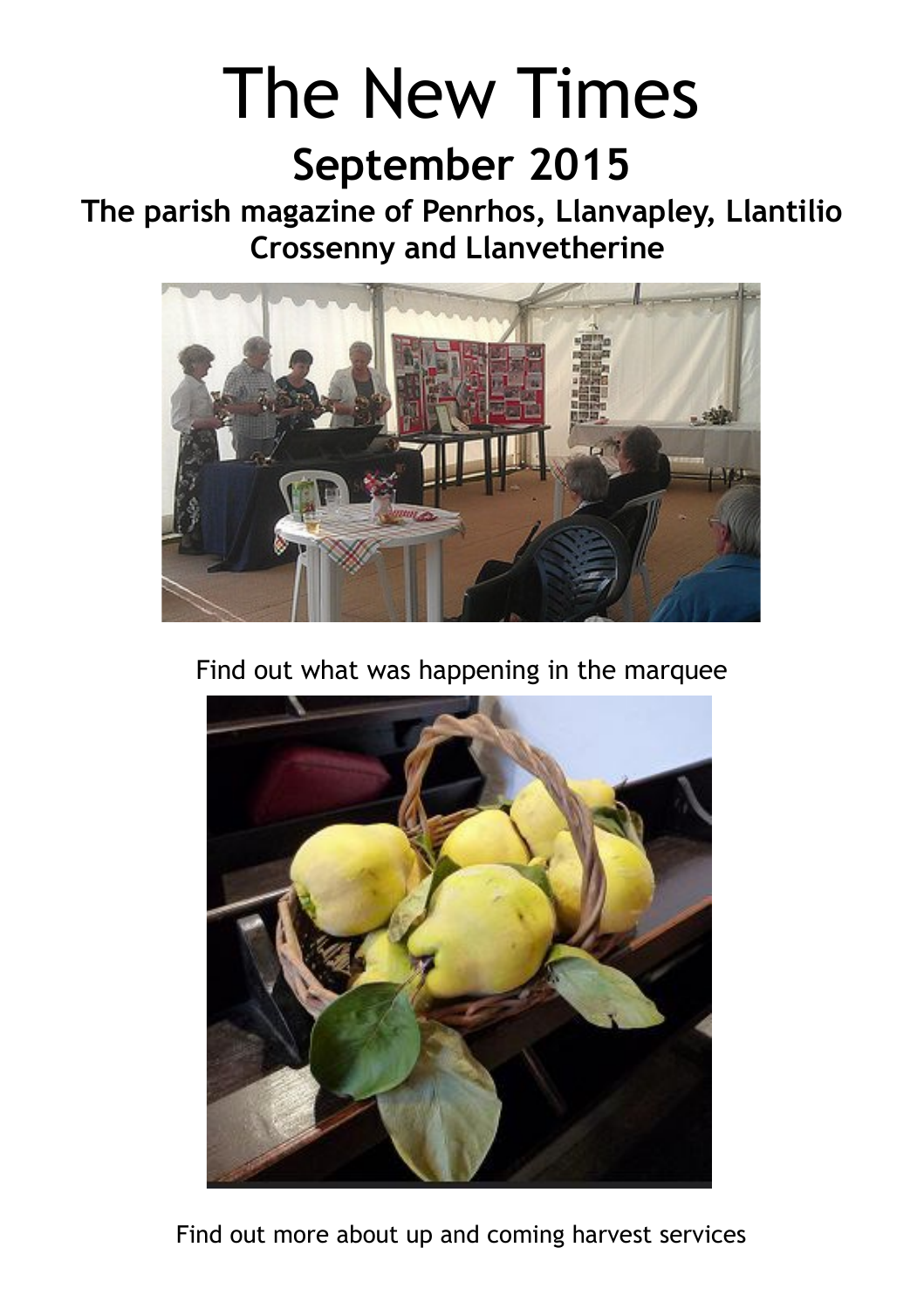# The New Times

## **September 2015**

**The parish magazine of Penrhos, Llanvapley, Llantilio Crossenny and Llanvetherine** 



Find out what was happening in the marquee



Find out more about up and coming harvest services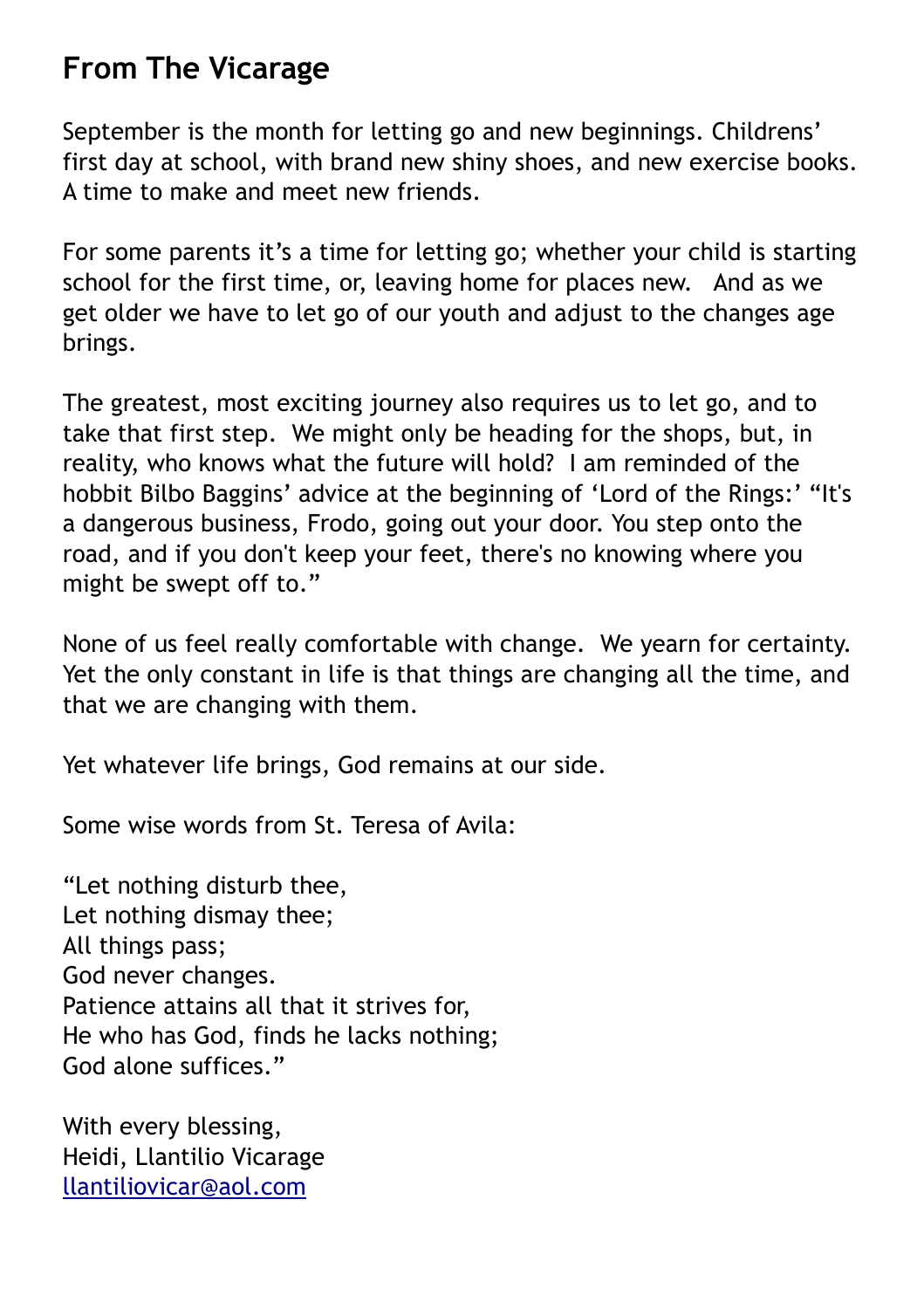## **From The Vicarage**

September is the month for letting go and new beginnings. Childrens' first day at school, with brand new shiny shoes, and new exercise books. A time to make and meet new friends.

For some parents it's a time for letting go; whether your child is starting school for the first time, or, leaving home for places new. And as we get older we have to let go of our youth and adjust to the changes age brings.

The greatest, most exciting journey also requires us to let go, and to take that first step. We might only be heading for the shops, but, in reality, who knows what the future will hold? I am reminded of the hobbit Bilbo Baggins' advice at the beginning of 'Lord of the Rings:' "It's a dangerous business, Frodo, going out your door. You step onto the road, and if you don't keep your feet, there's no knowing where you might be swept off to."

None of us feel really comfortable with change. We yearn for certainty. Yet the only constant in life is that things are changing all the time, and that we are changing with them.

Yet whatever life brings, God remains at our side.

Some wise words from St. Teresa of Avila:

"Let nothing disturb thee, Let nothing dismay thee; All things pass; God never changes. Patience attains all that it strives for, He who has God, finds he lacks nothing; God alone suffices."

With every blessing, Heidi, Llantilio Vicarage llantiliovicar@aol.com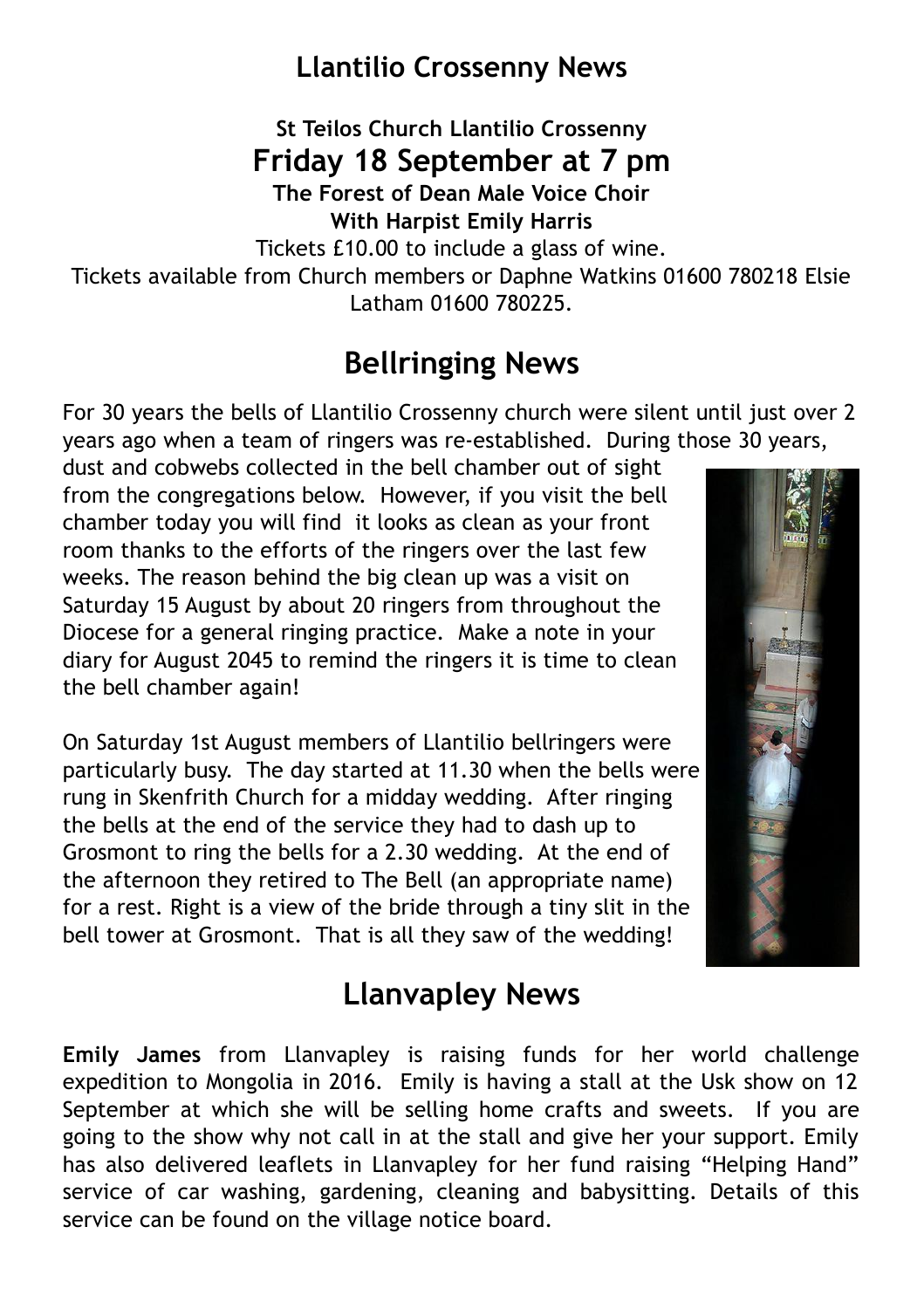## **Llantilio Crossenny News**

**St Teilos Church Llantilio Crossenny Friday 18 September at 7 pm**

**The Forest of Dean Male Voice Choir With Harpist Emily Harris**

Tickets £10.00 to include a glass of wine.

Tickets available from Church members or Daphne Watkins 01600 780218 Elsie Latham 01600 780225.

## **Bellringing News**

For 30 years the bells of Llantilio Crossenny church were silent until just over 2 years ago when a team of ringers was re-established. During those 30 years,

dust and cobwebs collected in the bell chamber out of sight from the congregations below. However, if you visit the bell chamber today you will find it looks as clean as your front room thanks to the efforts of the ringers over the last few weeks. The reason behind the big clean up was a visit on Saturday 15 August by about 20 ringers from throughout the Diocese for a general ringing practice. Make a note in your diary for August 2045 to remind the ringers it is time to clean the bell chamber again!

On Saturday 1st August members of Llantilio bellringers were particularly busy. The day started at 11.30 when the bells were rung in Skenfrith Church for a midday wedding. After ringing the bells at the end of the service they had to dash up to Grosmont to ring the bells for a 2.30 wedding. At the end of the afternoon they retired to The Bell (an appropriate name) for a rest. Right is a view of the bride through a tiny slit in the bell tower at Grosmont. That is all they saw of the wedding!



## **Llanvapley News**

**Emily James** from Llanvapley is raising funds for her world challenge expedition to Mongolia in 2016. Emily is having a stall at the Usk show on 12 September at which she will be selling home crafts and sweets. If you are going to the show why not call in at the stall and give her your support. Emily has also delivered leaflets in Llanvapley for her fund raising "Helping Hand" service of car washing, gardening, cleaning and babysitting. Details of this service can be found on the village notice board.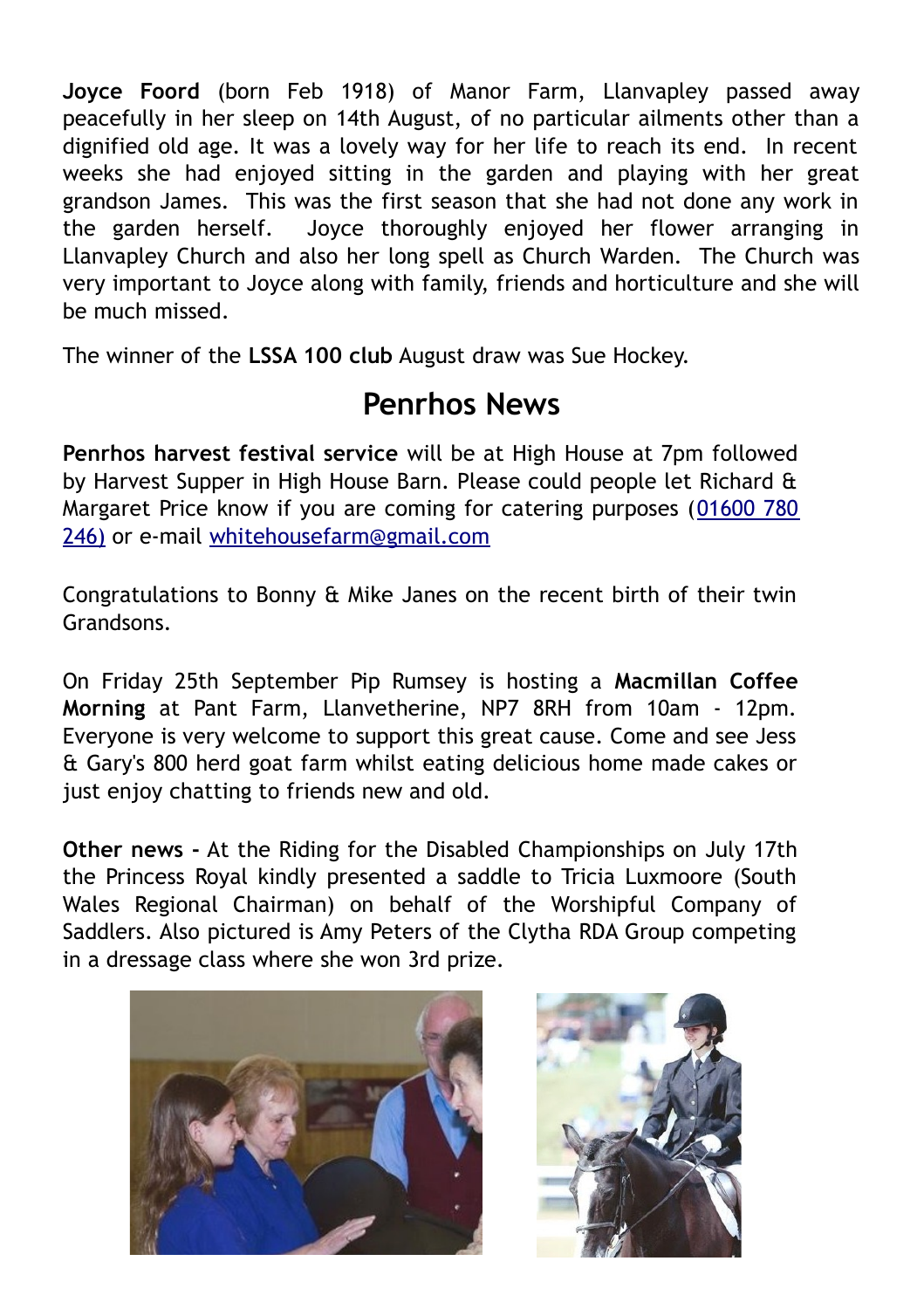**Joyce Foord** (born Feb 1918) of Manor Farm, Llanvapley passed away peacefully in her sleep on 14th August, of no particular ailments other than a dignified old age. It was a lovely way for her life to reach its end. In recent weeks she had enjoyed sitting in the garden and playing with her great grandson James. This was the first season that she had not done any work in the garden herself. Joyce thoroughly enjoyed her flower arranging in Llanvapley Church and also her long spell as Church Warden. The Church was very important to Joyce along with family, friends and horticulture and she will be much missed.

The winner of the **LSSA 100 club** August draw was Sue Hockey.

## **Penrhos News**

**Penrhos harvest festival service** will be at High House at 7pm followed by Harvest Supper in High House Barn. Please could people let Richard & Margaret Price know if you are coming for catering purposes (01600 780 246) or e-mail whitehousefarm@gmail.com

Congratulations to Bonny & Mike Janes on the recent birth of their twin Grandsons.

On Friday 25th September Pip Rumsey is hosting a **Macmillan Coffee Morning** at Pant Farm, Llanvetherine, NP7 8RH from 10am - 12pm. Everyone is very welcome to support this great cause. Come and see Jess & Gary's 800 herd goat farm whilst eating delicious home made cakes or just enjoy chatting to friends new and old.

**Other news -** At the Riding for the Disabled Championships on July 17th the Princess Royal kindly presented a saddle to Tricia Luxmoore (South Wales Regional Chairman) on behalf of the Worshipful Company of Saddlers. Also pictured is Amy Peters of the Clytha RDA Group competing in a dressage class where she won 3rd prize.



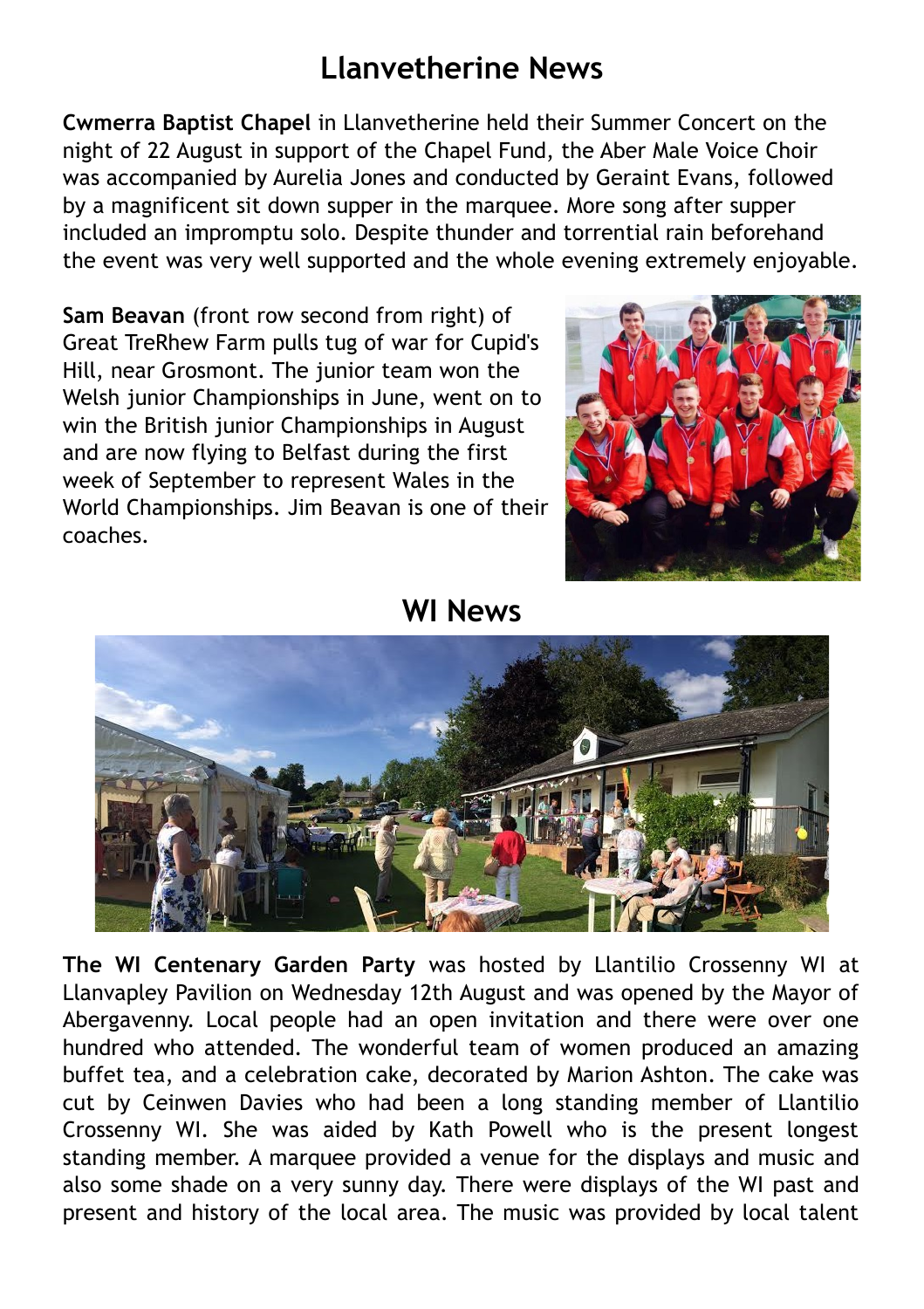## **Llanvetherine News**

**Cwmerra Baptist Chapel** in Llanvetherine held their Summer Concert on the night of 22 August in support of the Chapel Fund, the Aber Male Voice Choir was accompanied by Aurelia Jones and conducted by Geraint Evans, followed by a magnificent sit down supper in the marquee. More song after supper included an impromptu solo. Despite thunder and torrential rain beforehand the event was very well supported and the whole evening extremely enjoyable.

**Sam Beavan** (front row second from right) of Great TreRhew Farm pulls tug of war for Cupid's Hill, near Grosmont. The junior team won the Welsh junior Championships in June, went on to win the British junior Championships in August and are now flying to Belfast during the first week of September to represent Wales in the World Championships. Jim Beavan is one of their coaches.



**WI News**



**The WI Centenary Garden Party** was hosted by Llantilio Crossenny WI at Llanvapley Pavilion on Wednesday 12th August and was opened by the Mayor of Abergavenny. Local people had an open invitation and there were over one hundred who attended. The wonderful team of women produced an amazing buffet tea, and a celebration cake, decorated by Marion Ashton. The cake was cut by Ceinwen Davies who had been a long standing member of Llantilio Crossenny WI. She was aided by Kath Powell who is the present longest standing member. A marquee provided a venue for the displays and music and also some shade on a very sunny day. There were displays of the WI past and present and history of the local area. The music was provided by local talent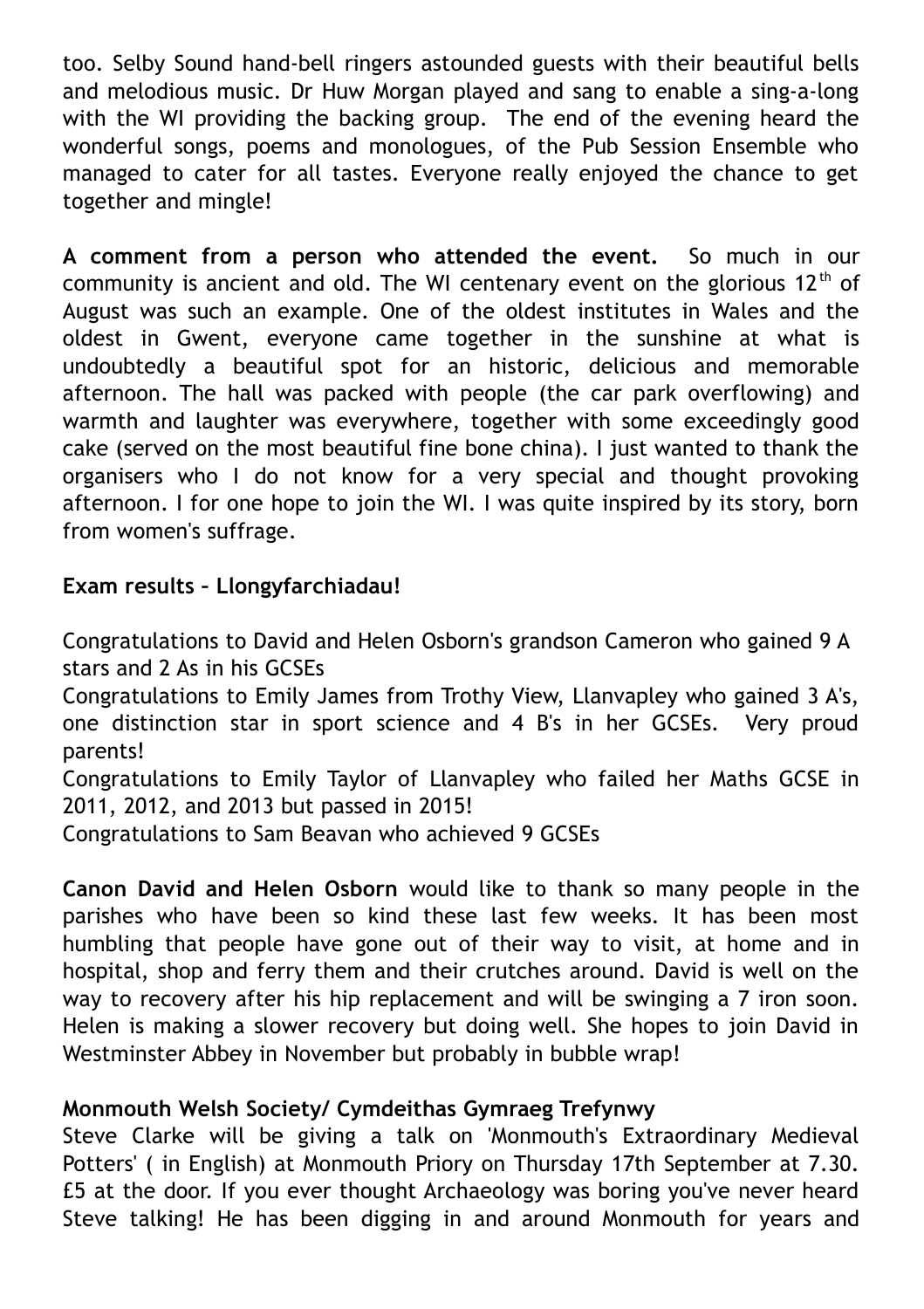too. Selby Sound hand-bell ringers astounded guests with their beautiful bells and melodious music. Dr Huw Morgan played and sang to enable a sing-a-long with the WI providing the backing group. The end of the evening heard the wonderful songs, poems and monologues, of the Pub Session Ensemble who managed to cater for all tastes. Everyone really enjoyed the chance to get together and mingle!

**A comment from a person who attended the event.** So much in our community is ancient and old. The WI centenary event on the glorious  $12<sup>th</sup>$  of August was such an example. One of the oldest institutes in Wales and the oldest in Gwent, everyone came together in the sunshine at what is undoubtedly a beautiful spot for an historic, delicious and memorable afternoon. The hall was packed with people (the car park overflowing) and warmth and laughter was everywhere, together with some exceedingly good cake (served on the most beautiful fine bone china). I just wanted to thank the organisers who I do not know for a very special and thought provoking afternoon. I for one hope to join the WI. I was quite inspired by its story, born from women's suffrage.

#### **Exam results – Llongyfarchiadau!**

Congratulations to David and Helen Osborn's grandson Cameron who gained 9 A stars and 2 As in his GCSEs

Congratulations to Emily James from Trothy View, Llanvapley who gained 3 A's, one distinction star in sport science and 4 B's in her GCSEs. Very proud parents!

Congratulations to Emily Taylor of Llanvapley who failed her Maths GCSE in 2011, 2012, and 2013 but passed in 2015!

Congratulations to Sam Beavan who achieved 9 GCSEs

**Canon David and Helen Osborn** would like to thank so many people in the parishes who have been so kind these last few weeks. It has been most humbling that people have gone out of their way to visit, at home and in hospital, shop and ferry them and their crutches around. David is well on the way to recovery after his hip replacement and will be swinging a 7 iron soon. Helen is making a slower recovery but doing well. She hopes to join David in Westminster Abbey in November but probably in bubble wrap!

#### **Monmouth Welsh Society/ Cymdeithas Gymraeg Trefynwy**

Steve Clarke will be giving a talk on 'Monmouth's Extraordinary Medieval Potters' ( in English) at Monmouth Priory on Thursday 17th September at 7.30. £5 at the door. If you ever thought Archaeology was boring you've never heard Steve talking! He has been digging in and around Monmouth for years and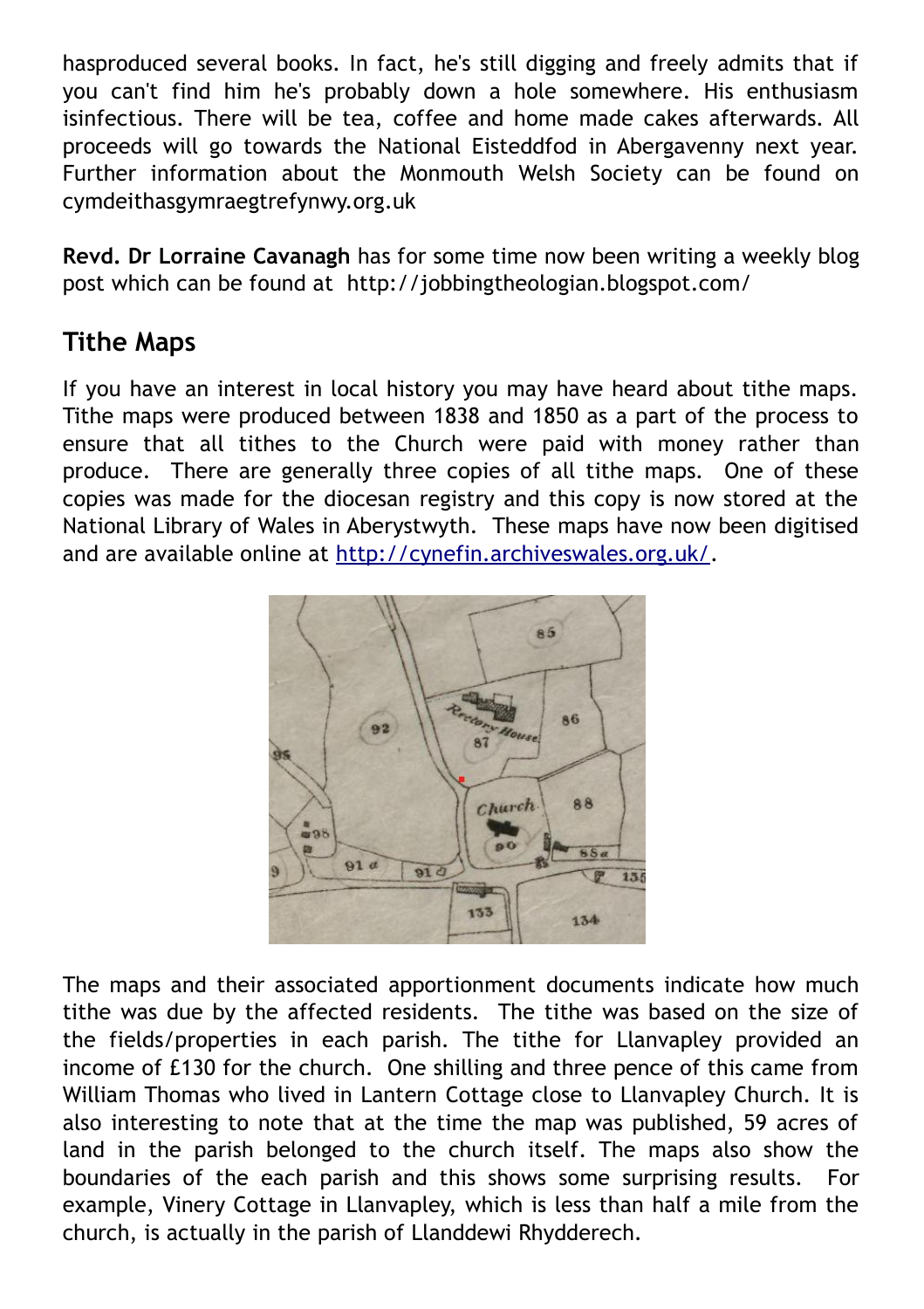hasproduced several books. In fact, he's still digging and freely admits that if you can't find him he's probably down a hole somewhere. His enthusiasm isinfectious. There will be tea, coffee and home made cakes afterwards. All proceeds will go towards the National Eisteddfod in Abergavenny next year. Further information about the Monmouth Welsh Society can be found on cymdeithasgymraegtrefynwy.org.uk

**Revd. Dr Lorraine Cavanagh** has for some time now been writing a weekly blog post which can be found at http://jobbingtheologian.blogspot.com/

#### **Tithe Maps**

If you have an interest in local history you may have heard about tithe maps. Tithe maps were produced between 1838 and 1850 as a part of the process to ensure that all tithes to the Church were paid with money rather than produce. There are generally three copies of all tithe maps. One of these copies was made for the diocesan registry and this copy is now stored at the National Library of Wales in Aberystwyth. These maps have now been digitised and are available online at [http://cynefin.archiveswales.org.uk/.](http://cynefin.archiveswales.org.uk/)



The maps and their associated apportionment documents indicate how much tithe was due by the affected residents. The tithe was based on the size of the fields/properties in each parish. The tithe for Llanvapley provided an income of £130 for the church. One shilling and three pence of this came from William Thomas who lived in Lantern Cottage close to Llanvapley Church. It is also interesting to note that at the time the map was published, 59 acres of land in the parish belonged to the church itself. The maps also show the boundaries of the each parish and this shows some surprising results. For example, Vinery Cottage in Llanvapley, which is less than half a mile from the church, is actually in the parish of Llanddewi Rhydderech.